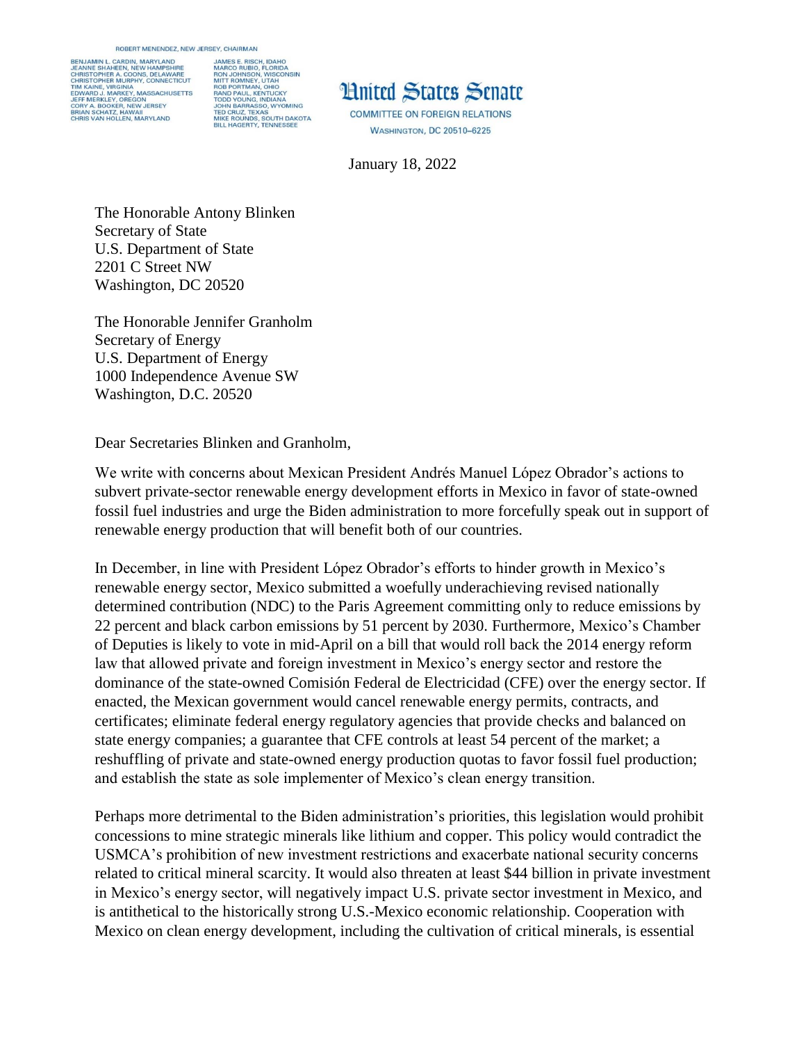ROBERT MENENDEZ, NEW JERSEY, CHAIRMAN

BENJAMIN L. CARDIN, MARYLAND JAMES E. RISCH, IDAHO JAMEG P. HISPO, FLORIDA<br>MARCO RUBIO, FLORIDA<br>MITT ROMNEV, UTAH<br>MITT ROMNEV, UTAH<br>MITT ROMNEV, UTAH<br>RAD PAUL, KENTUCKY<br>TADD YOUNG, INDIANA<br>JOHN BARRASSO, WYOMING<br>TED CRUZ, TEXAS<br>MIKE ROUNDS, SOUTH DAKOTA<br>MIKE ROUNDS, SOUTH E SHAHEEN, NEW HA CHRISTOPHER A. COONS, DELAWARE<br>CHRISTOPHER MURPHY, CONNECTICUT TIM KAINE, VIRGINIA<br>EDWARD J. MARKEY, MASSACHUSETTS<br>JEFF MERKLEY, OREGON<br>CORY A. BOOKER, NEW JERSEY<br>BRIAN SCHATZ, HAWAII<br>CHRIS VAN HOLLEN, MARYLAND<br>CHRIS VAN HOLLEN, MARYLAND



**WASHINGTON, DC 20510-6225** 

January 18, 2022

The Honorable Antony Blinken Secretary of State U.S. Department of State 2201 C Street NW Washington, DC 20520

The Honorable Jennifer Granholm Secretary of Energy U.S. Department of Energy 1000 Independence Avenue SW Washington, D.C. 20520

Dear Secretaries Blinken and Granholm,

We write with concerns about Mexican President Andrés Manuel López Obrador's actions to subvert private-sector renewable energy development efforts in Mexico in favor of state-owned fossil fuel industries and urge the Biden administration to more forcefully speak out in support of renewable energy production that will benefit both of our countries.

In December, in line with President López Obrador's efforts to hinder growth in Mexico's renewable energy sector, Mexico submitted a woefully underachieving revised nationally determined contribution (NDC) to the Paris Agreement committing only to reduce emissions by 22 percent and black carbon emissions by 51 percent by 2030. Furthermore, Mexico's Chamber of Deputies is likely to vote in mid-April on a bill that would roll back the 2014 energy reform law that allowed private and foreign investment in Mexico's energy sector and restore the dominance of the state-owned Comisión Federal de Electricidad (CFE) over the energy sector. If enacted, the Mexican government would cancel renewable energy permits, contracts, and certificates; eliminate federal energy regulatory agencies that provide checks and balanced on state energy companies; a guarantee that CFE controls at least 54 percent of the market; a reshuffling of private and state-owned energy production quotas to favor fossil fuel production; and establish the state as sole implementer of Mexico's clean energy transition.

Perhaps more detrimental to the Biden administration's priorities, this legislation would prohibit concessions to mine strategic minerals like lithium and copper. This policy would contradict the USMCA's prohibition of new investment restrictions and exacerbate national security concerns related to critical mineral scarcity. It would also threaten at least \$44 billion in private investment in Mexico's energy sector, will negatively impact U.S. private sector investment in Mexico, and is antithetical to the historically strong U.S.-Mexico economic relationship. Cooperation with Mexico on clean energy development, including the cultivation of critical minerals, is essential